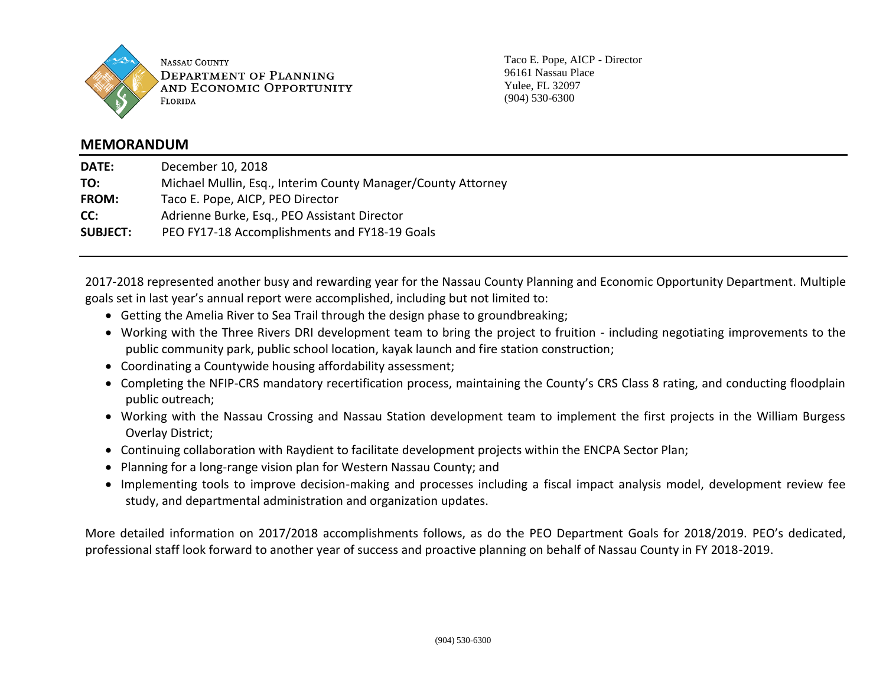

**NASSAU COUNTY DEPARTMENT OF PLANNING** AND ECONOMIC OPPORTUNITY **FLORIDA** 

Taco E. Pope, AICP - Director 96161 Nassau Place Yulee, FL 32097 (904) 530-6300

# **MEMORANDUM**

**DATE:** December 10, 2018 **TO:** Michael Mullin, Esq., Interim County Manager/County Attorney **FROM:** Taco E. Pope, AICP, PEO Director **CC:** Adrienne Burke, Esq., PEO Assistant Director **SUBJECT:** PEO FY17-18 Accomplishments and FY18-19 Goals

2017-2018 represented another busy and rewarding year for the Nassau County Planning and Economic Opportunity Department. Multiple goals set in last year's annual report were accomplished, including but not limited to:

- Getting the Amelia River to Sea Trail through the design phase to groundbreaking;
- Working with the Three Rivers DRI development team to bring the project to fruition including negotiating improvements to the public community park, public school location, kayak launch and fire station construction;
- Coordinating a Countywide housing affordability assessment;
- Completing the NFIP-CRS mandatory recertification process, maintaining the County's CRS Class 8 rating, and conducting floodplain public outreach;
- Working with the Nassau Crossing and Nassau Station development team to implement the first projects in the William Burgess Overlay District;
- Continuing collaboration with Raydient to facilitate development projects within the ENCPA Sector Plan;
- Planning for a long-range vision plan for Western Nassau County; and
- Implementing tools to improve decision-making and processes including a fiscal impact analysis model, development review fee study, and departmental administration and organization updates.

More detailed information on 2017/2018 accomplishments follows, as do the PEO Department Goals for 2018/2019. PEO's dedicated, professional staff look forward to another year of success and proactive planning on behalf of Nassau County in FY 2018-2019.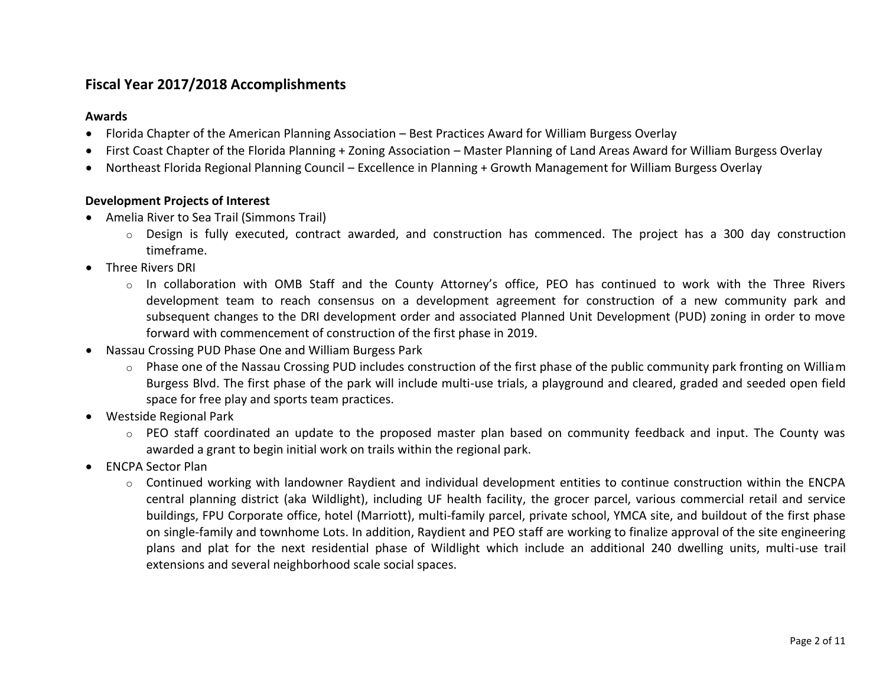# **Fiscal Year 2017/2018 Accomplishments**

# **Awards**

- Florida Chapter of the American Planning Association Best Practices Award for William Burgess Overlay
- First Coast Chapter of the Florida Planning + Zoning Association Master Planning of Land Areas Award for William Burgess Overlay
- Northeast Florida Regional Planning Council Excellence in Planning + Growth Management for William Burgess Overlay

#### **Development Projects of Interest**

- Amelia River to Sea Trail (Simmons Trail)
	- $\circ$  Design is fully executed, contract awarded, and construction has commenced. The project has a 300 day construction timeframe.
- Three Rivers DRI
	- $\circ$  In collaboration with OMB Staff and the County Attorney's office, PEO has continued to work with the Three Rivers development team to reach consensus on a development agreement for construction of a new community park and subsequent changes to the DRI development order and associated Planned Unit Development (PUD) zoning in order to move forward with commencement of construction of the first phase in 2019.
- Nassau Crossing PUD Phase One and William Burgess Park
	- o Phase one of the Nassau Crossing PUD includes construction of the first phase of the public community park fronting on William Burgess Blvd. The first phase of the park will include multi-use trials, a playground and cleared, graded and seeded open field space for free play and sports team practices.
- Westside Regional Park
	- $\circ$  PEO staff coordinated an update to the proposed master plan based on community feedback and input. The County was awarded a grant to begin initial work on trails within the regional park.
- ENCPA Sector Plan
	- o Continued working with landowner Raydient and individual development entities to continue construction within the ENCPA central planning district (aka Wildlight), including UF health facility, the grocer parcel, various commercial retail and service buildings, FPU Corporate office, hotel (Marriott), multi-family parcel, private school, YMCA site, and buildout of the first phase on single-family and townhome Lots. In addition, Raydient and PEO staff are working to finalize approval of the site engineering plans and plat for the next residential phase of Wildlight which include an additional 240 dwelling units, multi-use trail extensions and several neighborhood scale social spaces.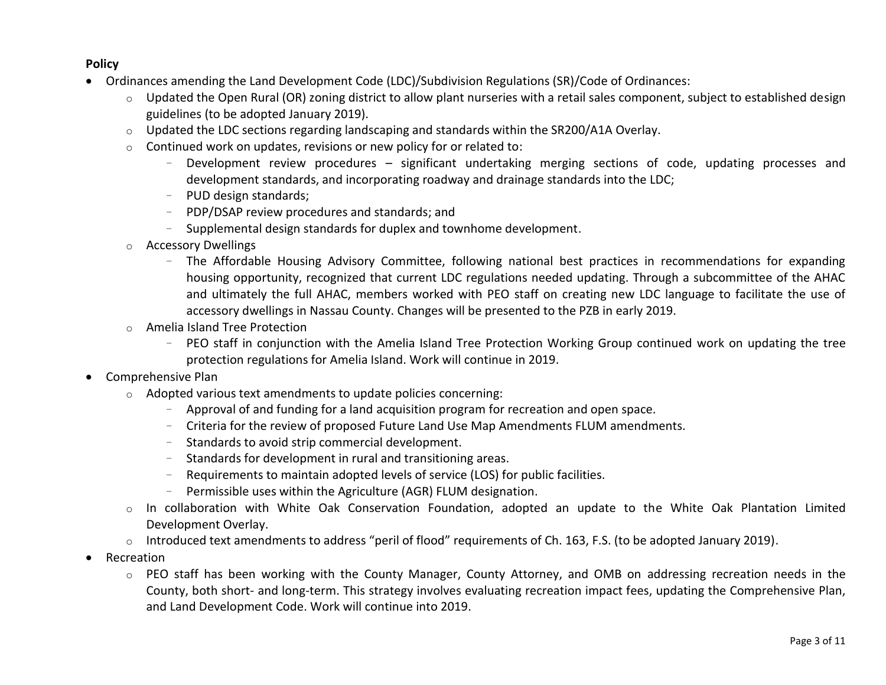# **Policy**

- Ordinances amending the Land Development Code (LDC)/Subdivision Regulations (SR)/Code of Ordinances:
	- o Updated the Open Rural (OR) zoning district to allow plant nurseries with a retail sales component, subject to established design guidelines (to be adopted January 2019).
	- o Updated the LDC sections regarding landscaping and standards within the SR200/A1A Overlay.
	- o Continued work on updates, revisions or new policy for or related to:
		- Development review procedures significant undertaking merging sections of code, updating processes and development standards, and incorporating roadway and drainage standards into the LDC;
		- PUD design standards;
		- PDP/DSAP review procedures and standards; and
		- Supplemental design standards for duplex and townhome development.
	- o Accessory Dwellings
		- The Affordable Housing Advisory Committee, following national best practices in recommendations for expanding housing opportunity, recognized that current LDC regulations needed updating. Through a subcommittee of the AHAC and ultimately the full AHAC, members worked with PEO staff on creating new LDC language to facilitate the use of accessory dwellings in Nassau County. Changes will be presented to the PZB in early 2019.
	- o Amelia Island Tree Protection
		- PEO staff in conjunction with the Amelia Island Tree Protection Working Group continued work on updating the tree protection regulations for Amelia Island. Work will continue in 2019.
- Comprehensive Plan
	- o Adopted various text amendments to update policies concerning:
		- Approval of and funding for a land acquisition program for recreation and open space.
		- Criteria for the review of proposed Future Land Use Map Amendments FLUM amendments.
		- Standards to avoid strip commercial development.
		- Standards for development in rural and transitioning areas.
		- Requirements to maintain adopted levels of service (LOS) for public facilities.
		- Permissible uses within the Agriculture (AGR) FLUM designation.
	- o In collaboration with White Oak Conservation Foundation, adopted an update to the White Oak Plantation Limited Development Overlay.
	- o Introduced text amendments to address "peril of flood" requirements of Ch. 163, F.S. (to be adopted January 2019).
- Recreation
	- $\circ$  PEO staff has been working with the County Manager, County Attorney, and OMB on addressing recreation needs in the County, both short- and long-term. This strategy involves evaluating recreation impact fees, updating the Comprehensive Plan, and Land Development Code. Work will continue into 2019.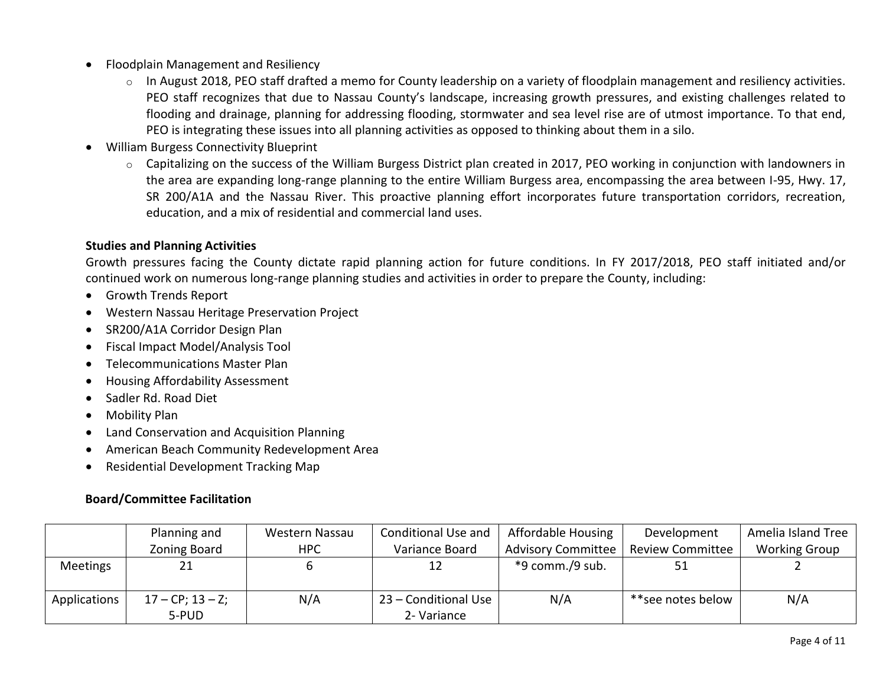- Floodplain Management and Resiliency
	- o In August 2018, PEO staff drafted a memo for County leadership on a variety of floodplain management and resiliency activities. PEO staff recognizes that due to Nassau County's landscape, increasing growth pressures, and existing challenges related to flooding and drainage, planning for addressing flooding, stormwater and sea level rise are of utmost importance. To that end, PEO is integrating these issues into all planning activities as opposed to thinking about them in a silo.
- William Burgess Connectivity Blueprint
	- $\circ$  Capitalizing on the success of the William Burgess District plan created in 2017, PEO working in conjunction with landowners in the area are expanding long-range planning to the entire William Burgess area, encompassing the area between I-95, Hwy. 17, SR 200/A1A and the Nassau River. This proactive planning effort incorporates future transportation corridors, recreation, education, and a mix of residential and commercial land uses.

## **Studies and Planning Activities**

Growth pressures facing the County dictate rapid planning action for future conditions. In FY 2017/2018, PEO staff initiated and/or continued work on numerous long-range planning studies and activities in order to prepare the County, including:

- Growth Trends Report
- Western Nassau Heritage Preservation Project
- SR200/A1A Corridor Design Plan
- Fiscal Impact Model/Analysis Tool
- Telecommunications Master Plan
- Housing Affordability Assessment
- Sadler Rd. Road Diet
- Mobility Plan
- Land Conservation and Acquisition Planning
- American Beach Community Redevelopment Area
- Residential Development Tracking Map

# **Board/Committee Facilitation**

|                 | Planning and           | Western Nassau | Conditional Use and  | <b>Affordable Housing</b> | Development             | Amelia Island Tree   |
|-----------------|------------------------|----------------|----------------------|---------------------------|-------------------------|----------------------|
|                 | Zoning Board           | <b>HPC</b>     | Variance Board       | Advisory Committee        | <b>Review Committee</b> | <b>Working Group</b> |
| <b>Meetings</b> | 21                     |                | 12                   | *9 comm./9 sub.           | 51                      |                      |
|                 |                        |                |                      |                           |                         |                      |
| Applications    | $17 - CP$ ; $13 - Z$ ; | N/A            | 23 - Conditional Use | N/A                       | **see notes below       | N/A                  |
|                 | 5-PUD                  |                | 2- Variance          |                           |                         |                      |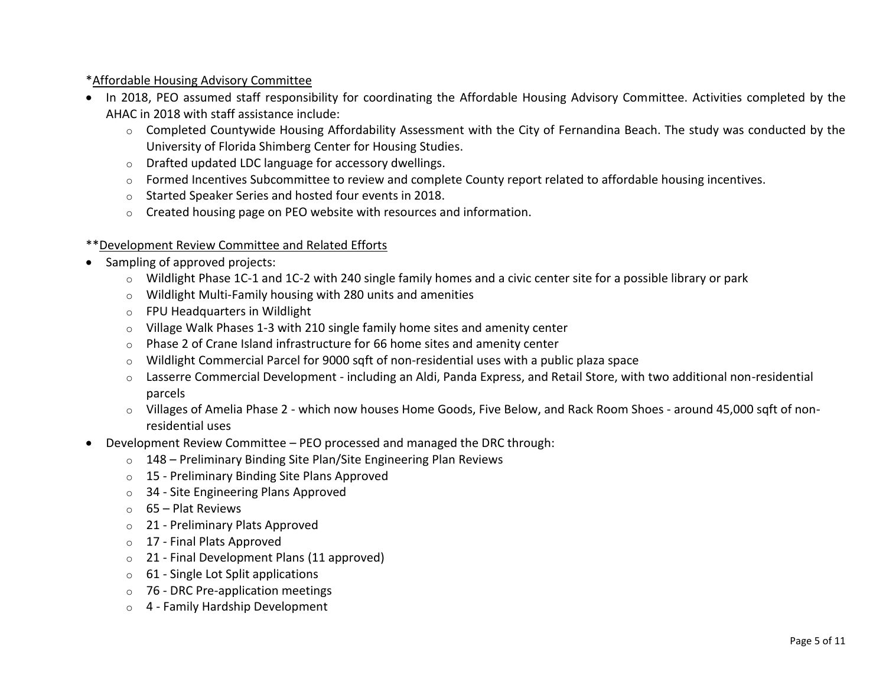# \*Affordable Housing Advisory Committee

- In 2018, PEO assumed staff responsibility for coordinating the Affordable Housing Advisory Committee. Activities completed by the AHAC in 2018 with staff assistance include:
	- o Completed Countywide Housing Affordability Assessment with the City of Fernandina Beach. The study was conducted by the University of Florida Shimberg Center for Housing Studies.
	- o Drafted updated LDC language for accessory dwellings.
	- o Formed Incentives Subcommittee to review and complete County report related to affordable housing incentives.
	- o Started Speaker Series and hosted four events in 2018.
	- o Created housing page on PEO website with resources and information.

#### \*\*Development Review Committee and Related Efforts

- Sampling of approved projects:
	- o Wildlight Phase 1C-1 and 1C-2 with 240 single family homes and a civic center site for a possible library or park
	- o Wildlight Multi-Family housing with 280 units and amenities
	- o FPU Headquarters in Wildlight
	- $\circ$  Village Walk Phases 1-3 with 210 single family home sites and amenity center
	- o Phase 2 of Crane Island infrastructure for 66 home sites and amenity center
	- o Wildlight Commercial Parcel for 9000 sqft of non-residential uses with a public plaza space
	- o Lasserre Commercial Development including an Aldi, Panda Express, and Retail Store, with two additional non-residential parcels
	- o Villages of Amelia Phase 2 which now houses Home Goods, Five Below, and Rack Room Shoes around 45,000 sqft of nonresidential uses
- Development Review Committee PEO processed and managed the DRC through:
	- $\circ$  148 Preliminary Binding Site Plan/Site Engineering Plan Reviews
	- o 15 Preliminary Binding Site Plans Approved
	- o 34 Site Engineering Plans Approved
	- $\circ$  65 Plat Reviews
	- o 21 Preliminary Plats Approved
	- o 17 Final Plats Approved
	- o 21 Final Development Plans (11 approved)
	- $\circ$  61 Single Lot Split applications
	- $\circ$  76 DRC Pre-application meetings
	- o 4 Family Hardship Development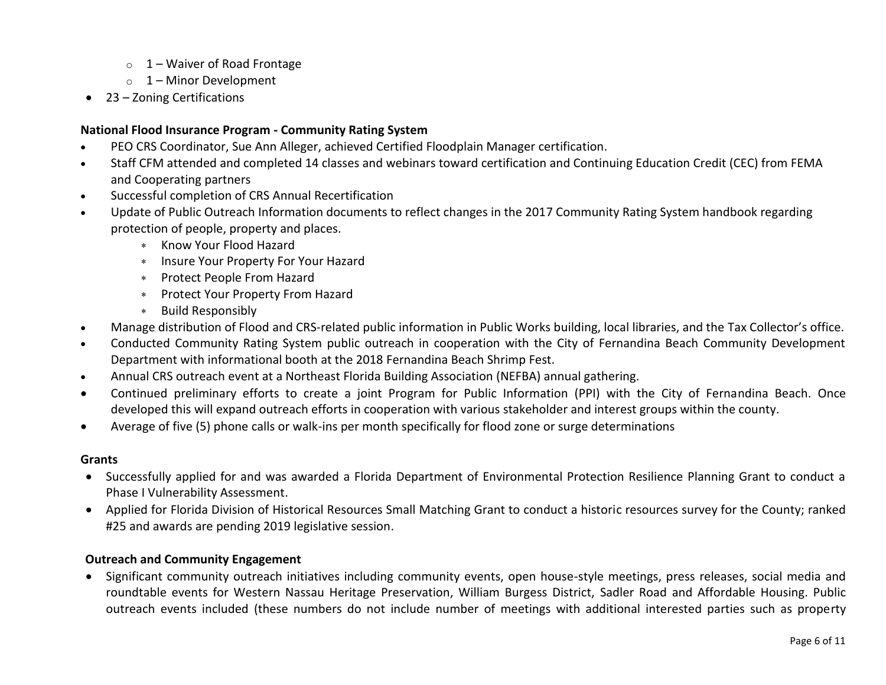- $\circ$  1 Waiver of Road Frontage
- $\circ$  1 Minor Development
- 23 Zoning Certifications

# **National Flood Insurance Program - Community Rating System**

- PEO CRS Coordinator, Sue Ann Alleger, achieved Certified Floodplain Manager certification.
- Staff CFM attended and completed 14 classes and webinars toward certification and Continuing Education Credit (CEC) from FEMA and Cooperating partners
- Successful completion of CRS Annual Recertification
- Update of Public Outreach Information documents to reflect changes in the 2017 Community Rating System handbook regarding protection of people, property and places.
	- \* Know Your Flood Hazard
	- \* Insure Your Property For Your Hazard
	- Protect People From Hazard
	- Protect Your Property From Hazard
	- Build Responsibly
- Manage distribution of Flood and CRS-related public information in Public Works building, local libraries, and the Tax Collector's office.
- Conducted Community Rating System public outreach in cooperation with the City of Fernandina Beach Community Development Department with informational booth at the 2018 Fernandina Beach Shrimp Fest.
- Annual CRS outreach event at a Northeast Florida Building Association (NEFBA) annual gathering.
- Continued preliminary efforts to create a joint Program for Public Information (PPI) with the City of Fernandina Beach. Once developed this will expand outreach efforts in cooperation with various stakeholder and interest groups within the county.
- Average of five (5) phone calls or walk-ins per month specifically for flood zone or surge determinations

#### **Grants**

- Successfully applied for and was awarded a Florida Department of Environmental Protection Resilience Planning Grant to conduct a Phase I Vulnerability Assessment.
- Applied for Florida Division of Historical Resources Small Matching Grant to conduct a historic resources survey for the County; ranked #25 and awards are pending 2019 legislative session.

## **Outreach and Community Engagement**

• Significant community outreach initiatives including community events, open house-style meetings, press releases, social media and roundtable events for Western Nassau Heritage Preservation, William Burgess District, Sadler Road and Affordable Housing. Public outreach events included (these numbers do not include number of meetings with additional interested parties such as property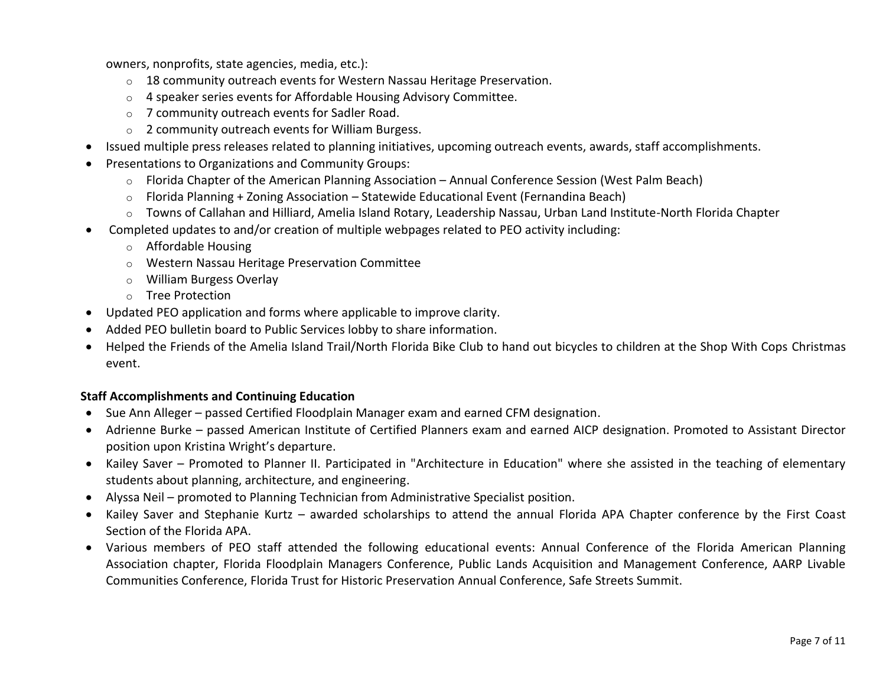owners, nonprofits, state agencies, media, etc.):

- $\circ$  18 community outreach events for Western Nassau Heritage Preservation.
- o 4 speaker series events for Affordable Housing Advisory Committee.
- o 7 community outreach events for Sadler Road.
- o 2 community outreach events for William Burgess.
- Issued multiple press releases related to planning initiatives, upcoming outreach events, awards, staff accomplishments.
- Presentations to Organizations and Community Groups:
	- $\circ$  Florida Chapter of the American Planning Association Annual Conference Session (West Palm Beach)
	- $\circ$  Florida Planning + Zoning Association Statewide Educational Event (Fernandina Beach)
	- o Towns of Callahan and Hilliard, Amelia Island Rotary, Leadership Nassau, Urban Land Institute-North Florida Chapter
- Completed updates to and/or creation of multiple webpages related to PEO activity including:
	- o Affordable Housing
	- o Western Nassau Heritage Preservation Committee
	- o William Burgess Overlay
	- o Tree Protection
- Updated PEO application and forms where applicable to improve clarity.
- Added PEO bulletin board to Public Services lobby to share information.
- Helped the Friends of the Amelia Island Trail/North Florida Bike Club to hand out bicycles to children at the Shop With Cops Christmas event.

# **Staff Accomplishments and Continuing Education**

- Sue Ann Alleger passed Certified Floodplain Manager exam and earned CFM designation.
- Adrienne Burke passed American Institute of Certified Planners exam and earned AICP designation. Promoted to Assistant Director position upon Kristina Wright's departure.
- Kailey Saver Promoted to Planner II. Participated in "Architecture in Education" where she assisted in the teaching of elementary students about planning, architecture, and engineering.
- Alyssa Neil promoted to Planning Technician from Administrative Specialist position.
- Kailey Saver and Stephanie Kurtz awarded scholarships to attend the annual Florida APA Chapter conference by the First Coast Section of the Florida APA.
- Various members of PEO staff attended the following educational events: Annual Conference of the Florida American Planning Association chapter, Florida Floodplain Managers Conference, Public Lands Acquisition and Management Conference, AARP Livable Communities Conference, Florida Trust for Historic Preservation Annual Conference, Safe Streets Summit.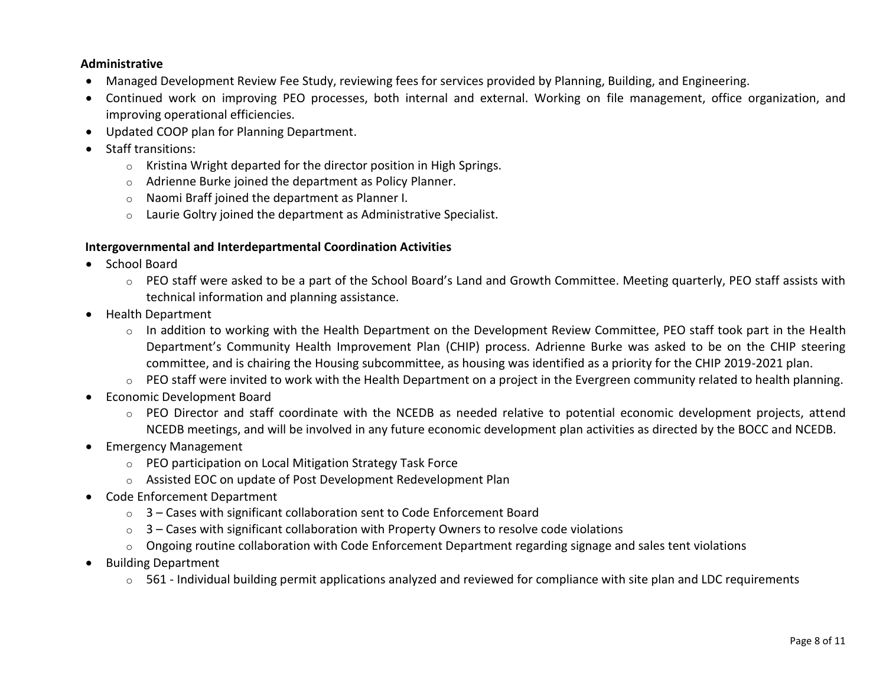## **Administrative**

- Managed Development Review Fee Study, reviewing fees for services provided by Planning, Building, and Engineering.
- Continued work on improving PEO processes, both internal and external. Working on file management, office organization, and improving operational efficiencies.
- Updated COOP plan for Planning Department.
- Staff transitions:
	- o Kristina Wright departed for the director position in High Springs.
	- o Adrienne Burke joined the department as Policy Planner.
	- o Naomi Braff joined the department as Planner I.
	- o Laurie Goltry joined the department as Administrative Specialist.

## **Intergovernmental and Interdepartmental Coordination Activities**

- School Board
	- o PEO staff were asked to be a part of the School Board's Land and Growth Committee. Meeting quarterly, PEO staff assists with technical information and planning assistance.
- Health Department
	- o In addition to working with the Health Department on the Development Review Committee, PEO staff took part in the Health Department's Community Health Improvement Plan (CHIP) process. Adrienne Burke was asked to be on the CHIP steering committee, and is chairing the Housing subcommittee, as housing was identified as a priority for the CHIP 2019-2021 plan.
	- $\circ$  PEO staff were invited to work with the Health Department on a project in the Evergreen community related to health planning.
- Economic Development Board
	- $\circ$  PEO Director and staff coordinate with the NCEDB as needed relative to potential economic development projects, attend NCEDB meetings, and will be involved in any future economic development plan activities as directed by the BOCC and NCEDB.
- Emergency Management
	- o PEO participation on Local Mitigation Strategy Task Force
	- o Assisted EOC on update of Post Development Redevelopment Plan
- Code Enforcement Department
	- o 3 Cases with significant collaboration sent to Code Enforcement Board
	- $\circ$  3 Cases with significant collaboration with Property Owners to resolve code violations
	- $\circ$  Ongoing routine collaboration with Code Enforcement Department regarding signage and sales tent violations
- Building Department
	- $\circ$  561 Individual building permit applications analyzed and reviewed for compliance with site plan and LDC requirements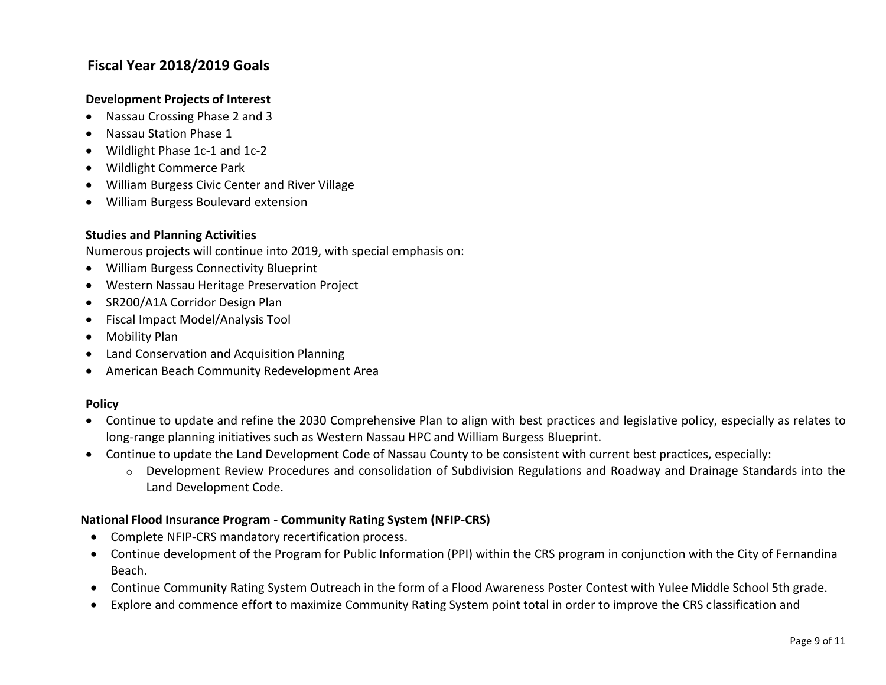# **Fiscal Year 2018/2019 Goals**

#### **Development Projects of Interest**

- Nassau Crossing Phase 2 and 3
- Nassau Station Phase 1
- Wildlight Phase 1c-1 and 1c-2
- Wildlight Commerce Park
- William Burgess Civic Center and River Village
- William Burgess Boulevard extension

#### **Studies and Planning Activities**

Numerous projects will continue into 2019, with special emphasis on:

- William Burgess Connectivity Blueprint
- Western Nassau Heritage Preservation Project
- SR200/A1A Corridor Design Plan
- Fiscal Impact Model/Analysis Tool
- Mobility Plan
- Land Conservation and Acquisition Planning
- American Beach Community Redevelopment Area

#### **Policy**

- Continue to update and refine the 2030 Comprehensive Plan to align with best practices and legislative policy, especially as relates to long-range planning initiatives such as Western Nassau HPC and William Burgess Blueprint.
- Continue to update the Land Development Code of Nassau County to be consistent with current best practices, especially:
	- o Development Review Procedures and consolidation of Subdivision Regulations and Roadway and Drainage Standards into the Land Development Code.

## **National Flood Insurance Program - Community Rating System (NFIP-CRS)**

- Complete NFIP-CRS mandatory recertification process.
- Continue development of the Program for Public Information (PPI) within the CRS program in conjunction with the City of Fernandina Beach.
- Continue Community Rating System Outreach in the form of a Flood Awareness Poster Contest with Yulee Middle School 5th grade.
- Explore and commence effort to maximize Community Rating System point total in order to improve the CRS classification and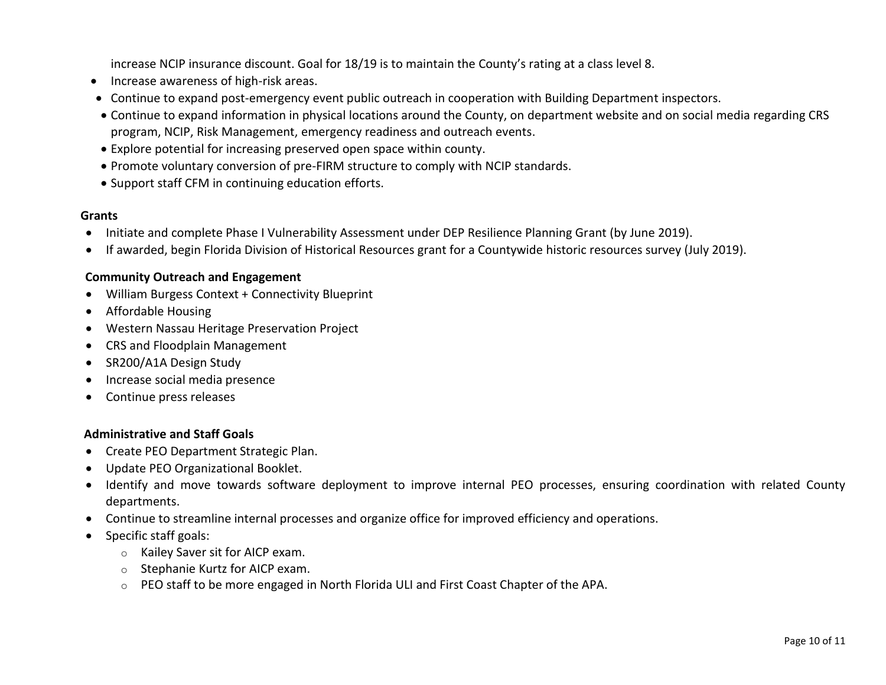increase NCIP insurance discount. Goal for 18/19 is to maintain the County's rating at a class level 8.

- Increase awareness of high-risk areas.
- Continue to expand post-emergency event public outreach in cooperation with Building Department inspectors.
- Continue to expand information in physical locations around the County, on department website and on social media regarding CRS program, NCIP, Risk Management, emergency readiness and outreach events.
- Explore potential for increasing preserved open space within county.
- Promote voluntary conversion of pre-FIRM structure to comply with NCIP standards.
- Support staff CFM in continuing education efforts.

#### **Grants**

- Initiate and complete Phase I Vulnerability Assessment under DEP Resilience Planning Grant (by June 2019).
- If awarded, begin Florida Division of Historical Resources grant for a Countywide historic resources survey (July 2019).

#### **Community Outreach and Engagement**

- William Burgess Context + Connectivity Blueprint
- Affordable Housing
- Western Nassau Heritage Preservation Project
- CRS and Floodplain Management
- SR200/A1A Design Study
- Increase social media presence
- Continue press releases

## **Administrative and Staff Goals**

- Create PEO Department Strategic Plan.
- Update PEO Organizational Booklet.
- Identify and move towards software deployment to improve internal PEO processes, ensuring coordination with related County departments.
- Continue to streamline internal processes and organize office for improved efficiency and operations.
- Specific staff goals:
	- o Kailey Saver sit for AICP exam.
	- o Stephanie Kurtz for AICP exam.
	- o PEO staff to be more engaged in North Florida ULI and First Coast Chapter of the APA.